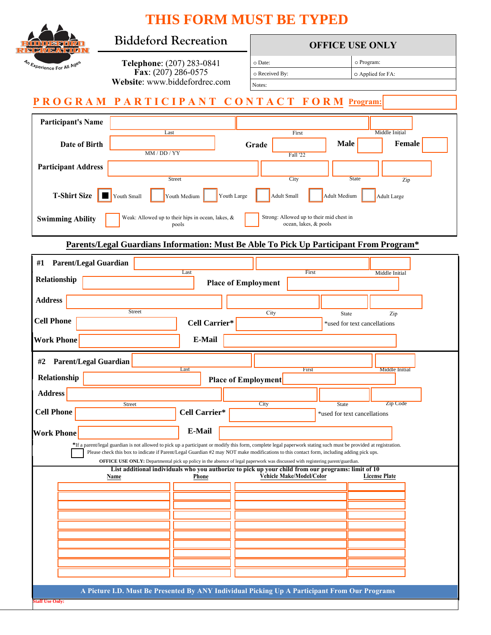|                                                                               |                                                                                                                                                                                                                                                                                                                                                                                                                                                 |                            | <b>THIS FORM MUST BE TYPED</b>                                         |                                                                                               |        |
|-------------------------------------------------------------------------------|-------------------------------------------------------------------------------------------------------------------------------------------------------------------------------------------------------------------------------------------------------------------------------------------------------------------------------------------------------------------------------------------------------------------------------------------------|----------------------------|------------------------------------------------------------------------|-----------------------------------------------------------------------------------------------|--------|
| 10 M M S S 11<br>31로739                                                       | <b>Biddeford Recreation</b>                                                                                                                                                                                                                                                                                                                                                                                                                     |                            | <b>OFFICE USE ONLY</b>                                                 |                                                                                               |        |
| 4h Experience For All Ages                                                    | Telephone: (207) 283-0841<br>Fax: $(207)$ 286-0575<br>Website: www.biddefordrec.com                                                                                                                                                                                                                                                                                                                                                             |                            | o Program:<br>o Date:<br>o Received By:<br>O Applied for FA:<br>Notes: |                                                                                               |        |
|                                                                               | PROGRAM PARTICIPANT CONTACT FORM Program:                                                                                                                                                                                                                                                                                                                                                                                                       |                            |                                                                        |                                                                                               |        |
| <b>Participant's Name</b>                                                     |                                                                                                                                                                                                                                                                                                                                                                                                                                                 |                            |                                                                        |                                                                                               |        |
| Date of Birth                                                                 | Last<br>MM / DD / YY                                                                                                                                                                                                                                                                                                                                                                                                                            |                            | First<br>Grade<br>Fall '22                                             | <b>Middle Initial</b><br><b>Male</b>                                                          | Female |
| <b>Participant Address</b>                                                    | Street                                                                                                                                                                                                                                                                                                                                                                                                                                          |                            | City                                                                   | <b>State</b>                                                                                  | Zip    |
| <b>T-Shirt Size</b>                                                           | Youth Small<br>Youth Medium                                                                                                                                                                                                                                                                                                                                                                                                                     | Youth Large                | <b>Adult Small</b>                                                     | <b>Adult Medium</b><br><b>Adult Large</b>                                                     |        |
| <b>Swimming Ability</b>                                                       | Weak: Allowed up to their hips in ocean, lakes, &<br>pools                                                                                                                                                                                                                                                                                                                                                                                      |                            | Strong: Allowed up to their mid chest in<br>ocean, lakes, & pools      |                                                                                               |        |
|                                                                               | Parents/Legal Guardians Information: Must Be Able To Pick Up Participant From Program*                                                                                                                                                                                                                                                                                                                                                          |                            |                                                                        |                                                                                               |        |
| <b>Parent/Legal Guardian</b><br>#1                                            | Last                                                                                                                                                                                                                                                                                                                                                                                                                                            |                            | First                                                                  |                                                                                               |        |
| Relationship                                                                  |                                                                                                                                                                                                                                                                                                                                                                                                                                                 | <b>Place of Employment</b> |                                                                        | Middle Initial                                                                                |        |
| <b>Address</b>                                                                |                                                                                                                                                                                                                                                                                                                                                                                                                                                 |                            |                                                                        |                                                                                               |        |
| <b>Cell Phone</b>                                                             | <b>Street</b>                                                                                                                                                                                                                                                                                                                                                                                                                                   | Cell Carrier*              | City                                                                   | State<br>Zip<br>*used for text cancellations                                                  |        |
| <b>Work Phone</b>                                                             |                                                                                                                                                                                                                                                                                                                                                                                                                                                 | E-Mail                     |                                                                        |                                                                                               |        |
| <b>Parent/Legal Guardian</b><br>#2                                            |                                                                                                                                                                                                                                                                                                                                                                                                                                                 |                            |                                                                        |                                                                                               |        |
| Last<br>Middle Initial<br>First<br>Relationship<br><b>Place of Employment</b> |                                                                                                                                                                                                                                                                                                                                                                                                                                                 |                            |                                                                        |                                                                                               |        |
| <b>Address</b>                                                                | Street                                                                                                                                                                                                                                                                                                                                                                                                                                          |                            | City                                                                   | Zip Code<br><b>State</b>                                                                      |        |
| <b>Cell Phone</b>                                                             |                                                                                                                                                                                                                                                                                                                                                                                                                                                 | Cell Carrier*              |                                                                        | *used for text cancellations                                                                  |        |
| <b>Work Phone</b>                                                             |                                                                                                                                                                                                                                                                                                                                                                                                                                                 | <b>E-Mail</b>              |                                                                        |                                                                                               |        |
|                                                                               | *If a parent/legal guardian is not allowed to pick up a participant or modify this form, complete legal paperwork stating such must be provided at registration.<br>Please check this box to indicate if Parent/Legal Guardian #2 may NOT make modifications to this contact form, including adding pick ups.<br>OFFICE USE ONLY: Departmental pick up policy in the absence of legal paperwork was discussed with registering parent/guardian. |                            |                                                                        |                                                                                               |        |
|                                                                               | List additional individuals who you authorize to pick up your child from our programs: limit of 10<br>Name                                                                                                                                                                                                                                                                                                                                      | Phone                      | Vehicle Make/Model/Color                                               | <b>License Plate</b>                                                                          |        |
|                                                                               |                                                                                                                                                                                                                                                                                                                                                                                                                                                 |                            |                                                                        |                                                                                               |        |
|                                                                               |                                                                                                                                                                                                                                                                                                                                                                                                                                                 |                            |                                                                        |                                                                                               |        |
|                                                                               |                                                                                                                                                                                                                                                                                                                                                                                                                                                 |                            |                                                                        |                                                                                               |        |
|                                                                               |                                                                                                                                                                                                                                                                                                                                                                                                                                                 |                            |                                                                        |                                                                                               |        |
|                                                                               |                                                                                                                                                                                                                                                                                                                                                                                                                                                 |                            |                                                                        |                                                                                               |        |
|                                                                               |                                                                                                                                                                                                                                                                                                                                                                                                                                                 |                            |                                                                        |                                                                                               |        |
|                                                                               |                                                                                                                                                                                                                                                                                                                                                                                                                                                 |                            |                                                                        | A Picture I.D. Must Be Presented By ANY Individual Picking Up A Participant From Our Programs |        |
|                                                                               |                                                                                                                                                                                                                                                                                                                                                                                                                                                 |                            |                                                                        |                                                                                               |        |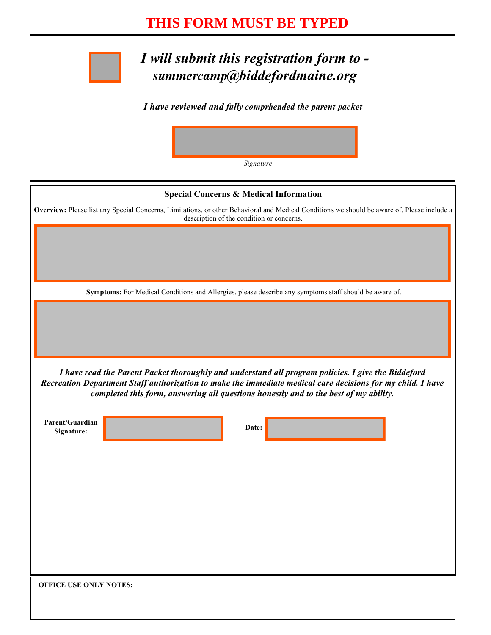## **THIS FORM MUST BE TYPED**